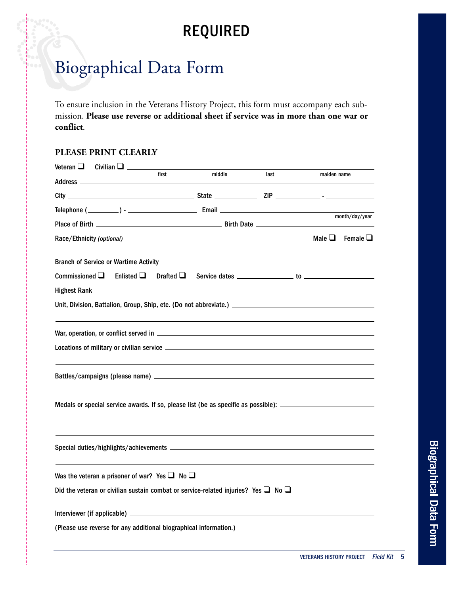## **REQUIRED**

## Biographical Data Form

To ensure inclusion in the Veterans History Project, this form must accompany each submission. **Please use reverse or additional sheet if service was in more than one war or conflict**.

## **PLEASE PRINT CLEARLY**

| Veteran $\square$                                                                                              | Civilian $\square$ | first | middle |  |      |  |             |                |  |  |
|----------------------------------------------------------------------------------------------------------------|--------------------|-------|--------|--|------|--|-------------|----------------|--|--|
|                                                                                                                |                    |       |        |  | last |  | maiden name |                |  |  |
|                                                                                                                |                    |       |        |  |      |  |             |                |  |  |
|                                                                                                                |                    |       |        |  |      |  |             | month/day/year |  |  |
|                                                                                                                |                    |       |        |  |      |  |             |                |  |  |
|                                                                                                                |                    |       |        |  |      |  |             |                |  |  |
|                                                                                                                |                    |       |        |  |      |  |             |                |  |  |
|                                                                                                                |                    |       |        |  |      |  |             |                |  |  |
|                                                                                                                |                    |       |        |  |      |  |             |                |  |  |
|                                                                                                                |                    |       |        |  |      |  |             |                |  |  |
|                                                                                                                |                    |       |        |  |      |  |             |                |  |  |
|                                                                                                                |                    |       |        |  |      |  |             |                |  |  |
|                                                                                                                |                    |       |        |  |      |  |             |                |  |  |
|                                                                                                                |                    |       |        |  |      |  |             |                |  |  |
|                                                                                                                |                    |       |        |  |      |  |             |                |  |  |
|                                                                                                                |                    |       |        |  |      |  |             |                |  |  |
| Medals or special service awards. If so, please list (be as specific as possible): ___________________________ |                    |       |        |  |      |  |             |                |  |  |
|                                                                                                                |                    |       |        |  |      |  |             |                |  |  |
|                                                                                                                |                    |       |        |  |      |  |             |                |  |  |
|                                                                                                                |                    |       |        |  |      |  |             |                |  |  |
|                                                                                                                |                    |       |        |  |      |  |             |                |  |  |
| Was the veteran a prisoner of war? Yes $\Box$ No $\Box$                                                        |                    |       |        |  |      |  |             |                |  |  |
| Did the veteran or civilian sustain combat or service-related injuries? Yes $\Box$ No $\Box$                   |                    |       |        |  |      |  |             |                |  |  |
|                                                                                                                |                    |       |        |  |      |  |             |                |  |  |
|                                                                                                                |                    |       |        |  |      |  |             |                |  |  |
| (Please use reverse for any additional biographical information.)                                              |                    |       |        |  |      |  |             |                |  |  |